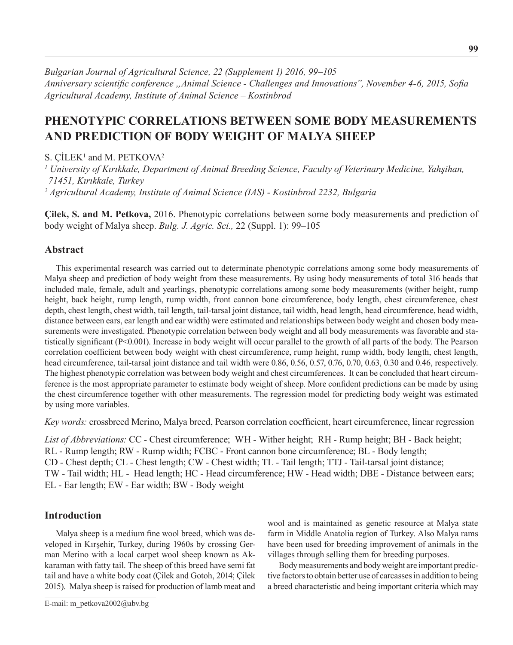*Bulgarian Journal of Agricultural Science, 22 (Supplement 1) 2016, 99–105 Anniversary scientific conference "Animal Science - Challenges and Innovations", November 4-6, 2015, Sofia Agricultural Academy, Institute оf Animal Science – Kostinbrod*

# **PHENOTYPIC CORRELATIONS BETWEEN SOME BODY MEASUREMENTS AND PREDICTION OF BODY WEIGHT OF MALYA SHEEP**

S. ÇİLEK<sup>1</sup> and M. PETKOVA<sup>2</sup>

*1 University of Kırıkkale, Department of Animal Breeding Science, Faculty of Veterinary Medicine, Yahşihan, 71451, Kırıkkale, Turkey 2 Agricultural Academy, Institute of Animal Science (IAS) - Kostinbrod 2232, Bulgaria*

**Çilek, S. and M. Petkova,** 2016. Phenotypic correlations between some body measurements and prediction of body weight of Malya sheep. *Bulg. J. Agric. Sci.,* 22 (Suppl. 1): 99–105

## **Abstract**

This experimental research was carried out to determinate phenotypic correlations among some body measurements of Malya sheep and prediction of body weight from these measurements. By using body measurements of total 316 heads that included male, female, adult and yearlings, phenotypic correlations among some body measurements (wither height, rump height, back height, rump length, rump width, front cannon bone circumference, body length, chest circumference, chest depth, chest length, chest width, tail length, tail-tarsal joint distance, tail width, head length, head circumference, head width, distance between ears, ear length and ear width) were estimated and relationships between body weight and chosen body measurements were investigated. Phenotypic correlation between body weight and all body measurements was favorable and statistically significant (P<0.001). Increase in body weight will occur parallel to the growth of all parts of the body. The Pearson correlation coefficient between body weight with chest circumference, rump height, rump width, body length, chest length, head circumference, tail-tarsal joint distance and tail width were 0.86, 0.56, 0.57, 0.76, 0.70, 0.63, 0.30 and 0.46, respectively. The highest phenotypic correlation was between body weight and chest circumferences. It can be concluded that heart circumference is the most appropriate parameter to estimate body weight of sheep. More confident predictions can be made by using the chest circumference together with other measurements. The regression model for predicting body weight was estimated by using more variables.

*Key words:* crossbreed Merino, Malya breed, Pearson correlation coefficient, heart circumference, linear regression

*List of Abbreviations:* CC - Chest circumference; WH - Wither height; RH - Rump height; BH - Back height; RL - Rump length; RW - Rump width; FCBC - Front cannon bone circumference; BL - Body length; CD - Chest depth; CL - Chest length; CW - Chest width; TL - Tail length; TTJ - Tail-tarsal joint distance; TW - Tail width; HL - Head length; HC - Head circumference; HW - Head width; DBE - Distance between ears; EL - Ear length; EW - Ear width; BW - Body weight

## **Introduction**

Malya sheep is a medium fine wool breed, which was developed in Kırşehir, Turkey, during 1960s by crossing German Merino with a local carpet wool sheep known as Akkaraman with fatty tail. The sheep of this breed have semi fat tail and have a white body coat (Çilek and Gotoh, 2014; Çilek 2015). Malya sheep is raised for production of lamb meat and

wool and is maintained as genetic resource at Malya state farm in Middle Anatolia region of Turkey. Also Malya rams have been used for breeding improvement of animals in the villages through selling them for breeding purposes.

Body measurements and body weight are important predictive factors to obtain better use of carcasses in addition to being a breed characteristic and being important criteria which may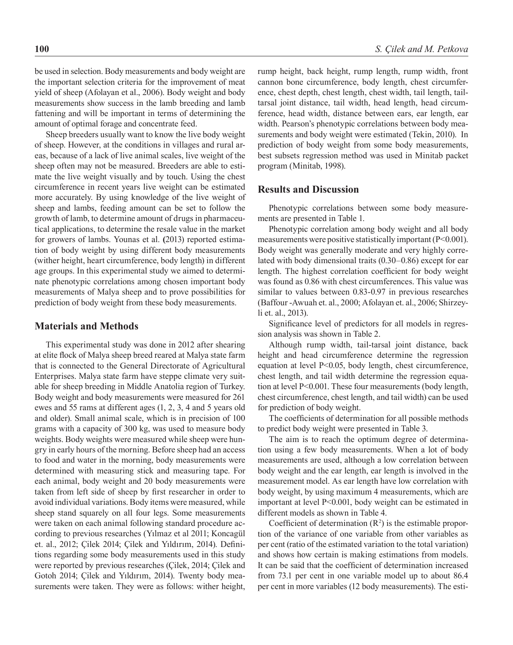be used in selection. Body measurements and body weight are the important selection criteria for the improvement of meat yield of sheep (Afolayan et al., 2006). Body weight and body measurements show success in the lamb breeding and lamb fattening and will be important in terms of determining the amount of optimal forage and concentrate feed.

Sheep breeders usually want to know the live body weight of sheep. However, at the conditions in villages and rural areas, because of a lack of live animal scales, live weight of the sheep often may not be measured. Breeders are able to estimate the live weight visually and by touch. Using the chest circumference in recent years live weight can be estimated more accurately. By using knowledge of the live weight of sheep and lambs, feeding amount can be set to follow the growth of lamb, to determine amount of drugs in pharmaceutical applications, to determine the resale value in the market for growers of lambs. Younas et al. **(**2013) reported estimation of body weight by using different body measurements (wither height, heart circumference, body length) in different age groups. In this experimental study we aimed to determinate phenotypic correlations among chosen important body measurements of Malya sheep and to prove possibilities for prediction of body weight from these body measurements.

### **Materials and Methods**

This experimental study was done in 2012 after shearing at elite flock of Malya sheep breed reared at Malya state farm that is connected to the General Directorate of Agricultural Enterprises. Malya state farm have steppe climate very suitable for sheep breeding in Middle Anatolia region of Turkey. Body weight and body measurements were measured for 261 ewes and 55 rams at different ages (1, 2, 3, 4 and 5 years old and older). Small animal scale, which is in precision of 100 grams with a capacity of 300 kg, was used to measure body weights. Body weights were measured while sheep were hungry in early hours of the morning. Before sheep had an access to food and water in the morning, body measurements were determined with measuring stick and measuring tape. For each animal, body weight and 20 body measurements were taken from left side of sheep by first researcher in order to avoid individual variations. Body items were measured, while sheep stand squarely on all four legs. Some measurements were taken on each animal following standard procedure according to previous researches (Yılmaz et al 2011; Koncagül et. al., 2012; Çilek 2014; Çilek and Yıldırım, 2014). Definitions regarding some body measurements used in this study were reported by previous researches (Çilek, 2014; Çilek and Gotoh 2014; Çilek and Yıldırım, 2014). Twenty body measurements were taken. They were as follows: wither height, rump height, back height, rump length, rump width, front cannon bone circumference, body length, chest circumference, chest depth, chest length, chest width, tail length, tailtarsal joint distance, tail width, head length, head circumference, head width, distance between ears, ear length, ear width. Pearson's phenotypic correlations between body measurements and body weight were estimated (Tekin, 2010). In prediction of body weight from some body measurements, best subsets regression method was used in Minitab packet program (Minitab, 1998).

### **Results and Discussion**

Phenotypic correlations between some body measurements are presented in Table 1.

Phenotypic correlation among body weight and all body measurements were positive statistically important (P<0.001). Body weight was generally moderate and very highly correlated with body dimensional traits (0.30–0.86) except for ear length. The highest correlation coefficient for body weight was found as 0.86 with chest circumferences. This value was similar to values between 0.83-0.97 in previous researches (Baffour -Awuah et. al., 2000; Afolayan et. al., 2006; Shirzeyli et. al., 2013).

Significance level of predictors for all models in regression analysis was shown in Table 2.

Although rump width, tail-tarsal joint distance, back height and head circumference determine the regression equation at level P<0.05, body length, chest circumference, chest length, and tail width determine the regression equation at level P<0.001. These four measurements (body length, chest circumference, chest length, and tail width) can be used for prediction of body weight.

The coefficients of determination for all possible methods to predict body weight were presented in Table 3.

The aim is to reach the optimum degree of determination using a few body measurements. When a lot of body measurements are used, although a low correlation between body weight and the ear length, ear length is involved in the measurement model. As ear length have low correlation with body weight, by using maximum 4 measurements, which are important at level P<0.001, body weight can be estimated in different models as shown in Table 4.

Coefficient of determination  $(R^2)$  is the estimable proportion of the variance of one variable from other variables as per cent (ratio of the estimated variation to the total variation) and shows how certain is making estimations from models. It can be said that the coefficient of determination increased from 73.1 per cent in one variable model up to about 86.4 per cent in more variables (12 body measurements). The esti-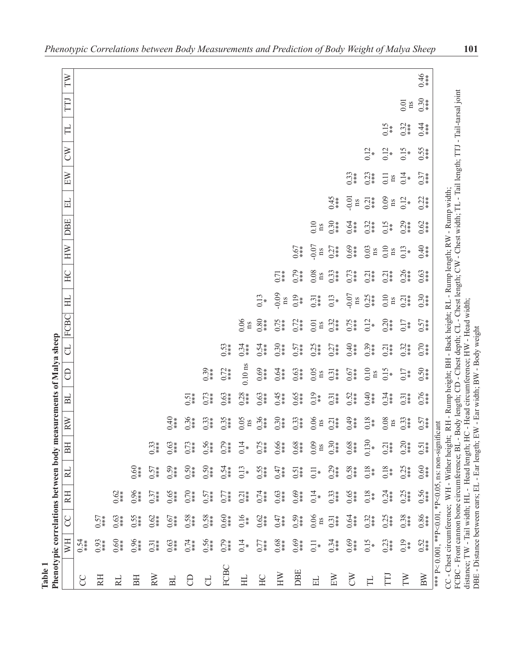| Phenotypic correlations between bo<br><b>Cable 1</b>                                                                                                                            |                            |                     |                   |                 |               |               | dy measurements of Malya sheep |                     |               |                        |                                   |               |                                                  |               |                      |                                  |               |         |            |               |
|---------------------------------------------------------------------------------------------------------------------------------------------------------------------------------|----------------------------|---------------------|-------------------|-----------------|---------------|---------------|--------------------------------|---------------------|---------------|------------------------|-----------------------------------|---------------|--------------------------------------------------|---------------|----------------------|----------------------------------|---------------|---------|------------|---------------|
|                                                                                                                                                                                 | WH                         | SO                  | RH                | $\approx$       | BH            | RW            | $_{\rm{BL}}$                   | 8                   |               | CL FCBC                | HL                                | HC            | HW                                               | DBE           | 旵                    | EW                               | $\infty$      | $\Box$  | TTJ        | TW            |
| S                                                                                                                                                                               | 0.54                       |                     |                   |                 |               |               |                                |                     |               |                        |                                   |               |                                                  |               |                      |                                  |               |         |            |               |
| RH                                                                                                                                                                              | 0.93                       | 0.57                |                   |                 |               |               |                                |                     |               |                        |                                   |               |                                                  |               |                      |                                  |               |         |            |               |
| RL                                                                                                                                                                              | $0.60*$                    | 0.63                | $0.62 *$          |                 |               |               |                                |                     |               |                        |                                   |               |                                                  |               |                      |                                  |               |         |            |               |
| BH                                                                                                                                                                              | $0.96$<br>***              | $0.55$<br>***       | $0.96$<br>***     | $rac{60}{0.68}$ |               |               |                                |                     |               |                        |                                   |               |                                                  |               |                      |                                  |               |         |            |               |
| RW                                                                                                                                                                              | $0.31*$                    | 0.62                | 0.37              | 0.57            | $0.33*$       |               |                                |                     |               |                        |                                   |               |                                                  |               |                      |                                  |               |         |            |               |
| B <sub>L</sub>                                                                                                                                                                  | 0.63                       | 0.67                | 0.65              | 0.59            | 0.63          | 0.40          |                                |                     |               |                        |                                   |               |                                                  |               |                      |                                  |               |         |            |               |
| $\Theta$                                                                                                                                                                        | 0.74                       | $0.58$<br>***       | $0.70$<br>***     | 0.50            | 0.73          | $0.36$<br>*** | $0.51*$                        |                     |               |                        |                                   |               |                                                  |               |                      |                                  |               |         |            |               |
| J                                                                                                                                                                               | $0.56$<br>***              | $0.58$<br>***       | 0.57              | $0.50 + 0.50$   | $0.56$<br>*** | $0.33*$       | 0.73                           | $0.39 + 10$         |               |                        |                                   |               |                                                  |               |                      |                                  |               |         |            |               |
| FCBC                                                                                                                                                                            | 0.79                       | 0.60                | 0.77              | $0.5*$          | $0.79$<br>*** | 0.35          | 0.63                           | $0.72$<br>***       | 0.53          |                        |                                   |               |                                                  |               |                      |                                  |               |         |            |               |
| HL                                                                                                                                                                              | 0.14                       | 0.16                | $\overline{0.21}$ | 0.13            | 0.14          | 0.05<br>ns    | $0.28$<br>***                  | $0.10~\mathrm{ns}$  | 0.34          | 0.06<br>$\mathbf{n}$   |                                   |               |                                                  |               |                      |                                  |               |         |            |               |
| HC                                                                                                                                                                              | $0.77*$                    | 0.62                | 6.74              | 0.55            | 0.75          | $0.36$<br>*** | 0.63                           | $0.69$<br>***       | 0.54          | $0.80$<br>***          | 0.13                              |               |                                                  |               |                      |                                  |               |         |            |               |
| HW                                                                                                                                                                              | $0.68$<br>***              | 0.47                | 0.63              | 0.47            | 0.66          | $0.30 + 10$   | $0.45$<br>***                  | 0.64                | $0.30*$       | 0.75                   | $-0.09$<br>$\mathbf{n}\mathbf{s}$ | 0.71          |                                                  |               |                      |                                  |               |         |            |               |
| DBE                                                                                                                                                                             | $0.69$<br>***              | $0.59$<br>***       | $0.69*$           | $0.51*$         | $0.68$<br>*** | $0.33*$       | $0.65$<br>***                  | 0.63                | 0.57          | 0.72                   | $0.19 + 1.5$                      | 0.79          | 0.67                                             |               |                      |                                  |               |         |            |               |
| E                                                                                                                                                                               | $\overline{\phantom{0}}$ : | 0.06<br>$n_{\rm S}$ | 0.14              | $\overline{C}$  | 0.09<br>ns    | 0.06<br>ns    | $0.19 + 1.0$                   | 0.05<br>ns          | $0.25$<br>*** | 0.01<br>n <sub>S</sub> | 0.31                              | 0.08<br>ns    | $\begin{array}{c} 0.07 \\ \text{ns} \end{array}$ | 0.10<br>ns    |                      |                                  |               |         |            |               |
| EW                                                                                                                                                                              | 0.34                       | $0.31*$             | $0.33*$           | 0.29            | $0.30*$       | 0.21          | $0.31*$                        | $0.31*$             | 0.27          | $0.32*$                | 0.13                              | $0.33*$       | 0.27                                             | $0.30*$       | $0.45$<br>***        |                                  |               |         |            |               |
| $\mathsf{X}^{\mathsf{N}}$                                                                                                                                                       | $0.69$<br>***              | 0.64                | $0.65$<br>***     | $0.58$<br>***   | $0.68$<br>*** | $6**0$        | 0.52                           | 0.67                | 0.40          | 0.75                   | $-0.07$<br>ns                     | 0.73          | $0.69$<br>***                                    | 0.64          | 0.01<br>ns           | $0.33*$                          |               |         |            |               |
| $\Box$                                                                                                                                                                          | 0.15                       | 0.32                | 0.18              | 0.18            | 0.130         | 0.18          | 0.40                           | 0.10<br>$_{\rm ns}$ | $0.39*$       | 0.12                   | $0.25$<br>***                     | 0.21          | 0.03<br>$\mathbf{n}$                             | 0.32          | 0.21                 | 0.23                             | $0.12*$       |         |            |               |
| FTI                                                                                                                                                                             | 0.23                       | $0.25$<br>***       | 0.24              | 0.18            | $0.21*$       | 0.08<br>ns    | 0.34                           | 0.15                | 0.21          | $0.20*$                | 0.10<br>ns                        | 0.21          | 0.10<br>$\mathbf{n}\mathbf{s}$                   | 0.15          | 0.09<br>$\mathbf{n}$ | $\overline{0}$ .<br>$\mathbf{n}$ | $0.12*$       | 0.15    |            |               |
| $\overline{T}$                                                                                                                                                                  | $^{0.19}_{-**}$            | 0.38                | 0.25              | 0.25            | $0.20*$       | 0.33          | $0.31*$                        | 0.17                | $0.32*$       | 0.17                   | $0.21*$                           | $0.26$<br>*** | 0.13                                             | $0.29$<br>*** | $0.12 +$             | 0.14                             | 0.15          | $0.32*$ | 0.01<br>ns |               |
| BW                                                                                                                                                                              | $0.52$<br>***              | $0.86$<br>***       | $0.56$<br>***     | $0.60$ *        | 0.51          | 0.57          | $0.76$<br>***                  | $0.50$<br>***       | 0.70          | 0.57                   | $0.30*$                           | 0.63          | $0.40$<br>***                                    | 0.62          | $0.22$<br>***        | 0.37                             | $0.55$<br>*** | 0.44    | $0.30*$    | $0.46$<br>*** |
| $CC$ - Chest circumference; WH - Wither height; RH - Rump height; BH - Back height; RL - Rump length; RW - Rump width;<br>*** P< 0.001, ** P<0.01, *P<0.05, ns: non-significant |                            |                     |                   |                 |               |               |                                |                     |               |                        |                                   |               |                                                  |               |                      |                                  |               |         |            |               |
| FCBC - Front cannon bone circumference; BL - Body length; CD - Chest depth; CL - Chest length; CW - Chest width; TL - Tail length; TTJ - Tail-tarsal joint                      |                            |                     |                   |                 |               |               |                                |                     |               |                        |                                   |               |                                                  |               |                      |                                  |               |         |            |               |
| distance; TW - Tail width; HL - Head length; HC - Head circumference; HW - Head width;<br>DBE - Distance between ears; EL - Ear length; EW - Ear width; BW - Body weight        |                            |                     |                   |                 |               |               |                                |                     |               |                        |                                   |               |                                                  |               |                      |                                  |               |         |            |               |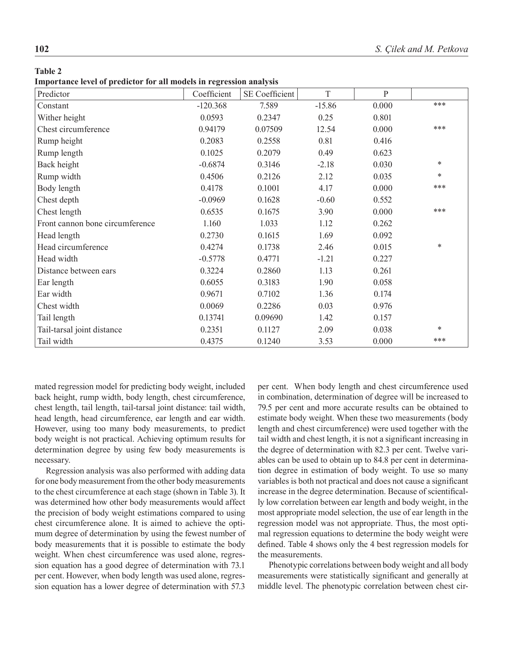#### **Table 2**

**Importance level of predictor for all models in regression analysis**

| Predictor                       | Coefficient | SE Coefficient | $\mathbf T$ | P     |        |
|---------------------------------|-------------|----------------|-------------|-------|--------|
| Constant                        | $-120.368$  | 7.589          | $-15.86$    | 0.000 | ***    |
| Wither height                   | 0.0593      | 0.2347         | 0.25        | 0.801 |        |
| Chest circumference             | 0.94179     | 0.07509        | 12.54       | 0.000 | ***    |
| Rump height                     | 0.2083      | 0.2558         | 0.81        | 0.416 |        |
| Rump length                     | 0.1025      | 0.2079         | 0.49        | 0.623 |        |
| Back height                     | $-0.6874$   | 0.3146         | $-2.18$     | 0.030 | *      |
| Rump width                      | 0.4506      | 0.2126         | 2.12        | 0.035 | $\ast$ |
| Body length                     | 0.4178      | 0.1001         | 4.17        | 0.000 | ***    |
| Chest depth                     | $-0.0969$   | 0.1628         | $-0.60$     | 0.552 |        |
| Chest length                    | 0.6535      | 0.1675         | 3.90        | 0.000 | ***    |
| Front cannon bone circumference | 1.160       | 1.033          | 1.12        | 0.262 |        |
| Head length                     | 0.2730      | 0.1615         | 1.69        | 0.092 |        |
| Head circumference              | 0.4274      | 0.1738         | 2.46        | 0.015 | $\ast$ |
| Head width                      | $-0.5778$   | 0.4771         | $-1.21$     | 0.227 |        |
| Distance between ears           | 0.3224      | 0.2860         | 1.13        | 0.261 |        |
| Ear length                      | 0.6055      | 0.3183         | 1.90        | 0.058 |        |
| Ear width                       | 0.9671      | 0.7102         | 1.36        | 0.174 |        |
| Chest width                     | 0.0069      | 0.2286         | 0.03        | 0.976 |        |
| Tail length                     | 0.13741     | 0.09690        | 1.42        | 0.157 |        |
| Tail-tarsal joint distance      | 0.2351      | 0.1127         | 2.09        | 0.038 | $\ast$ |
| Tail width                      | 0.4375      | 0.1240         | 3.53        | 0.000 | ***    |

mated regression model for predicting body weight, included back height, rump width, body length, chest circumference, chest length, tail length, tail-tarsal joint distance: tail width, head length, head circumference, ear length and ear width. However, using too many body measurements, to predict body weight is not practical. Achieving optimum results for determination degree by using few body measurements is necessary.

Regression analysis was also performed with adding data for one body measurement from the other body measurements to the chest circumference at each stage (shown in Table 3). It was determined how other body measurements would affect the precision of body weight estimations compared to using chest circumference alone. It is aimed to achieve the optimum degree of determination by using the fewest number of body measurements that it is possible to estimate the body weight. When chest circumference was used alone, regression equation has a good degree of determination with 73.1 per cent. However, when body length was used alone, regression equation has a lower degree of determination with 57.3 per cent. When body length and chest circumference used in combination, determination of degree will be increased to 79.5 per cent and more accurate results can be obtained to estimate body weight. When these two measurements (body length and chest circumference) were used together with the tail width and chest length, it is not a significant increasing in the degree of determination with 82.3 per cent. Twelve variables can be used to obtain up to 84.8 per cent in determination degree in estimation of body weight. To use so many variables is both not practical and does not cause a significant increase in the degree determination. Because of scientifically low correlation between ear length and body weight, in the most appropriate model selection, the use of ear length in the regression model was not appropriate. Thus, the most optimal regression equations to determine the body weight were defined. Table 4 shows only the 4 best regression models for the measurements.

Phenotypic correlations between body weight and all body measurements were statistically significant and generally at middle level. The phenotypic correlation between chest cir-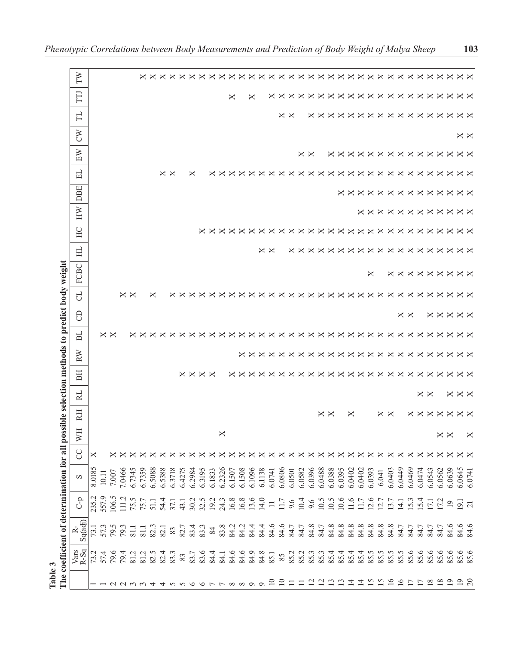| Fable 3                                       | The coefficient of determination for |                                             |                                |        |                        |                   |                            |                        |                            |    | all possible selection methods to predict body weight |                   |                                  |                  |                            |                                        |                                    |                               |                                      |                   |                        |                        |                                        |  |
|-----------------------------------------------|--------------------------------------|---------------------------------------------|--------------------------------|--------|------------------------|-------------------|----------------------------|------------------------|----------------------------|----|-------------------------------------------------------|-------------------|----------------------------------|------------------|----------------------------|----------------------------------------|------------------------------------|-------------------------------|--------------------------------------|-------------------|------------------------|------------------------|----------------------------------------|--|
|                                               | Vars<br>R-Sq                         | ≃่                                          | $\mathsf{C}\text{-}\mathsf{p}$ | S      | Ř                      | <b>NH</b>         | RH                         | RL                     | EE                         | RW | E                                                     | $\Theta$          | P.                               | FCBC             | 뵤                          | HW<br>HC                               | DBE                                | 님                             | EW                                   | Š                 | 出                      | FIJ                    | FW                                     |  |
|                                               |                                      | Sq(adj)                                     |                                |        |                        |                   |                            |                        |                            |    |                                                       |                   |                                  |                  |                            |                                        |                                    |                               |                                      |                   |                        |                        |                                        |  |
|                                               |                                      | 73.1                                        | 235.2<br>557.9                 | 8.0185 |                        |                   |                            |                        |                            |    |                                                       |                   |                                  |                  |                            |                                        |                                    |                               |                                      |                   |                        |                        |                                        |  |
|                                               | 73.1<br>57.4<br>79.6                 | 57.3                                        |                                | 10.11  |                        |                   |                            |                        |                            |    | $\times$ $\times$                                     |                   |                                  |                  |                            |                                        |                                    |                               |                                      |                   |                        |                        |                                        |  |
|                                               |                                      |                                             | 106.5                          | 7.007  |                        |                   |                            |                        |                            |    |                                                       |                   |                                  |                  |                            |                                        |                                    |                               |                                      |                   |                        |                        |                                        |  |
|                                               | 79.4                                 | 79.3                                        | 111.2                          | 7.0466 |                        |                   |                            |                        |                            |    |                                                       |                   | $\times\times$                   |                  |                            |                                        |                                    |                               |                                      |                   |                        |                        |                                        |  |
|                                               | 81.2                                 | $\overline{8}$ .                            |                                | 6.7345 |                        |                   |                            |                        |                            |    |                                                       |                   |                                  |                  |                            |                                        |                                    |                               |                                      |                   |                        |                        |                                        |  |
| $ \alpha$ $\alpha$ $\alpha$ $\alpha$ $\alpha$ | 81.2                                 | $\overline{8}$ .                            | 75.7                           | 6.7359 |                        |                   |                            |                        |                            |    | $\times\times\times$                                  |                   |                                  |                  |                            |                                        |                                    |                               |                                      |                   |                        |                        |                                        |  |
|                                               | 82.5                                 | 82.3                                        | 51.1                           | 6.5088 |                        |                   |                            |                        |                            |    |                                                       |                   | ×                                |                  |                            |                                        |                                    |                               |                                      |                   |                        |                        |                                        |  |
|                                               | 82.4                                 | 82.1                                        |                                | 6.5388 |                        |                   |                            |                        |                            |    | $\times$                                              |                   |                                  |                  |                            |                                        |                                    | $\times$                      |                                      |                   |                        |                        |                                        |  |
|                                               | 83.3                                 | $83\,$                                      |                                | 6.3718 |                        |                   |                            |                        |                            |    |                                                       |                   | ×                                |                  |                            |                                        |                                    | $\times$                      |                                      |                   |                        |                        |                                        |  |
| $4$ $\omega$ $\omega$ $\phi$                  | $83\,$                               | 82.7                                        |                                | 6.4275 |                        |                   |                            |                        |                            |    |                                                       |                   |                                  |                  |                            |                                        |                                    |                               |                                      |                   |                        |                        |                                        |  |
|                                               | 83.7                                 | 83.4                                        |                                | 6.2984 |                        |                   |                            |                        |                            |    |                                                       |                   | $\times \times$                  |                  |                            |                                        |                                    | ╳                             |                                      |                   |                        |                        |                                        |  |
|                                               | 83.6                                 | 83.3                                        |                                | 6.3195 |                        |                   |                            |                        | $\times\times\times\times$ |    |                                                       |                   | $\times$                         |                  |                            |                                        |                                    |                               |                                      |                   |                        |                        | <b>xxxxxxxxxxx</b>                     |  |
|                                               |                                      | 84                                          |                                | 6.1833 |                        |                   |                            |                        |                            |    |                                                       |                   |                                  |                  |                            |                                        |                                    | ×                             |                                      |                   |                        |                        |                                        |  |
|                                               |                                      | 83.8                                        |                                | 6.2326 |                        | ×                 |                            |                        |                            |    |                                                       |                   |                                  |                  |                            |                                        |                                    | $\times$                      |                                      |                   |                        |                        |                                        |  |
| $\circ \circ \circ \circ \circ \circ$         | $84.1$<br>$84.6$                     | 84.2                                        | $16.8\,$                       | 6.1507 |                        |                   |                            |                        |                            |    |                                                       |                   |                                  |                  |                            | <b>XXXXX</b>                           |                                    | $\times$                      |                                      |                   |                        | ×                      |                                        |  |
|                                               |                                      | 84.2                                        | $16.8\,$                       | 6.1508 |                        |                   |                            |                        |                            |    |                                                       |                   |                                  |                  |                            |                                        |                                    | $\times$                      |                                      |                   |                        |                        |                                        |  |
|                                               |                                      |                                             | 13.6                           | 6.1096 |                        |                   |                            |                        |                            |    |                                                       |                   |                                  |                  |                            |                                        |                                    |                               |                                      |                   |                        | ×                      |                                        |  |
| $\circ$                                       |                                      |                                             | 14.0                           | 6.1138 |                        |                   |                            |                        |                            |    |                                                       |                   |                                  |                  |                            |                                        |                                    |                               |                                      |                   |                        |                        |                                        |  |
| $\overline{10}$                               | 33381<br>33381                       | 8<br>8<br>8<br>8<br>8<br>8<br>8<br>8        | $\equiv$                       | 6.0741 | $\times\times\times$   |                   |                            |                        |                            |    |                                                       |                   |                                  |                  | $\times$ $\times$          |                                        |                                    |                               |                                      |                   |                        |                        |                                        |  |
| $\equiv$                                      | $85\,$                               | 84.6                                        | $11.7\,$                       | 6.0806 |                        |                   |                            |                        |                            |    |                                                       |                   |                                  |                  |                            | $X \times X \times$                    |                                    |                               |                                      |                   |                        | $\times$ $\times$      | $\times\times\times\times$             |  |
| $\equiv$                                      |                                      | 84.7                                        | 9.6                            | 6.0501 |                        |                   |                            |                        |                            |    |                                                       |                   |                                  |                  |                            |                                        |                                    |                               |                                      |                   | $\times$ $\times$      |                        |                                        |  |
| $\equiv$                                      | 85.2<br>85.2                         | 84.7                                        | 10.4                           | 6.0582 |                        |                   |                            |                        |                            |    |                                                       |                   |                                  |                  |                            |                                        |                                    |                               |                                      |                   |                        |                        |                                        |  |
|                                               | 85.3                                 | 84.8                                        | 9.6                            | 6.0396 |                        |                   |                            |                        |                            |    |                                                       |                   |                                  |                  |                            |                                        |                                    |                               | $\times$ $\times$                    |                   |                        |                        |                                        |  |
| $\overline{5}$ $\overline{5}$                 |                                      | 84.7                                        | 10.5                           | 6.0488 |                        |                   |                            |                        |                            |    |                                                       |                   |                                  |                  |                            |                                        |                                    |                               |                                      |                   |                        |                        |                                        |  |
| $\overline{13}$                               | 85<br>85888888                       | $\begin{array}{c} 84.8 \\ 84.8 \end{array}$ | 10.5                           | 6.0388 |                        |                   | $\times$ $\times$          |                        | xxxxxxxxxxxxxxxxxxxxx      |    |                                                       |                   | <b>xxxxxxxxxxxxxxxxxxxxxxxxx</b> |                  |                            | <b>xxxxxxxxxxxxxxxx</b>                |                                    | <b>xxxxxxxxxxx</b>            |                                      |                   | <b>xxxxxxxxxxxxxxx</b> | <b>xxxxxxxxxxxxxxx</b> | <b>x x x x x x x x x x x x x x x x</b> |  |
|                                               |                                      |                                             | 10.6                           | 6.0395 |                        |                   |                            |                        |                            |    |                                                       |                   |                                  |                  |                            |                                        |                                    |                               |                                      |                   |                        |                        |                                        |  |
| $\overline{4}$                                |                                      | 84.8                                        | 11.6                           | 6.0402 |                        |                   | ×                          |                        |                            |    |                                                       |                   |                                  |                  |                            |                                        |                                    |                               |                                      |                   |                        |                        |                                        |  |
| $\overline{z}$                                |                                      | 84.8                                        | 11.7                           | 6.0402 |                        |                   |                            |                        |                            |    |                                                       |                   |                                  |                  |                            |                                        |                                    | $\times$                      |                                      |                   |                        |                        |                                        |  |
| $\frac{5}{2}$                                 |                                      | $84.8$<br>$84.8$                            | 12.6                           | 6.0393 |                        |                   |                            |                        |                            |    |                                                       |                   |                                  | ×                |                            |                                        |                                    |                               |                                      |                   |                        |                        |                                        |  |
|                                               |                                      |                                             |                                | 6.041  | $\times \times$        |                   |                            |                        |                            |    |                                                       |                   |                                  |                  |                            |                                        |                                    |                               |                                      |                   |                        |                        |                                        |  |
| $\overline{16}$                               | 85.5                                 | 84.8                                        | $12.7$<br>$13.7$               | 6.0403 |                        |                   | $\times$ $\times$          |                        |                            |    |                                                       |                   |                                  |                  |                            |                                        |                                    | $\times \times \times \times$ |                                      |                   |                        |                        |                                        |  |
| $\overline{16}$                               | 85.5                                 | 84.7                                        | $\Xi$                          | 6.0449 | $\times$               |                   |                            |                        |                            |    |                                                       |                   |                                  |                  |                            |                                        |                                    |                               |                                      |                   |                        |                        |                                        |  |
| $\overline{1}$                                |                                      | 84.7                                        |                                | 6.0469 |                        |                   |                            |                        |                            |    |                                                       | $\times$ $\times$ |                                  |                  |                            |                                        |                                    |                               |                                      |                   |                        |                        |                                        |  |
| $\Box$                                        | 85.6                                 | 84.7                                        | $15.4$<br>15.4                 | 6.0474 | $\times\times\times$   |                   |                            |                        |                            |    |                                                       |                   |                                  |                  |                            |                                        |                                    |                               |                                      |                   |                        |                        |                                        |  |
| $\overline{18}$                               | 85.6                                 | 84.7                                        |                                | 6.0543 |                        |                   | $\times\times\times\times$ | $\times$ $\times$      |                            |    |                                                       |                   |                                  |                  |                            |                                        |                                    | $\times \times \times \times$ |                                      |                   |                        |                        |                                        |  |
|                                               | 85.6                                 | 84.7                                        | 17.2                           | 6.0562 |                        | $\times$ $\times$ |                            |                        |                            |    |                                                       |                   |                                  |                  |                            |                                        |                                    |                               |                                      |                   |                        |                        |                                        |  |
| $\overline{19}$                               | 85.6                                 | 84.6                                        | $\overline{19}$                | 6.0639 |                        |                   | $\times$                   |                        |                            |    |                                                       |                   |                                  |                  |                            |                                        |                                    | $\times$                      |                                      |                   |                        | $\times$               |                                        |  |
| $\overline{0}$                                | 85.6<br>85.6                         | 84.6<br>84.6                                | $\overline{5}$ $\overline{2}$  | 6.0645 | $\times \times \times$ |                   | $\times$ $\times$          | $\times \times \times$ | $\times \times$            |    | xxxxxxxxxxxxxxxxxxxxxxxxxxxx                          | <b>xxxxx</b>      | $\times$ $\times$                | <b>xxxxxxxxx</b> | <b>xxxxxxxxxxxxxxxxxxx</b> | <b>xxxxxxxxxxxx</b><br>$\times \times$ | <b>x x x x x x x x x x x x x x</b> | $\times \times$               | <b>x x x x x x x x x x x x x x x</b> | $\times$ $\times$ | $\times$ $\times$      | $\times \times$        | $\times\times\times$                   |  |
| $\overline{c}$                                |                                      |                                             |                                | 6.0741 |                        |                   |                            |                        |                            |    |                                                       |                   |                                  |                  |                            |                                        |                                    |                               |                                      |                   |                        |                        |                                        |  |

Table 3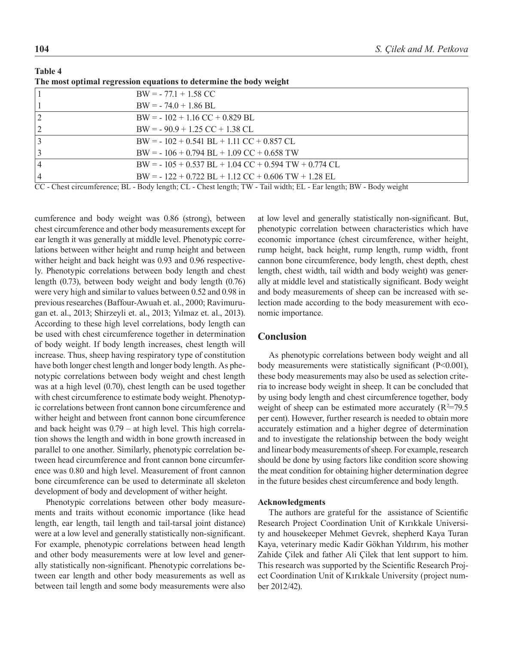|                | The most optimal regression equations to determine the body weight                                                |
|----------------|-------------------------------------------------------------------------------------------------------------------|
|                | $BW = -77.1 + 1.58 CC$                                                                                            |
|                | $BW = -74.0 + 1.86$ BL                                                                                            |
| $\overline{2}$ | $BW = -102 + 1.16 CC + 0.829 BL$                                                                                  |
| $\overline{2}$ | $BW = -90.9 + 1.25 CC + 1.38 CL$                                                                                  |
| $ 3\rangle$    | $BW = -102 + 0.541 BL + 1.11 CC + 0.857 CL$                                                                       |
| 3              | $BW = -106 + 0.794 BL + 1.09 CC + 0.658 TW$                                                                       |
| $\vert 4$      | $BW = -105 + 0.537 BL + 1.04 CC + 0.594 TW + 0.774 CL$                                                            |
| 4              | $BW = -122 + 0.722 BL + 1.12 CC + 0.606 TW + 1.28 EL$                                                             |
|                | CC - Chest circumference; BL - Body length; CL - Chest length; TW - Tail width; EL - Ear length; BW - Body weight |

**Table 4** 

cumference and body weight was 0.86 (strong), between chest circumference and other body measurements except for ear length it was generally at middle level. Phenotypic correlations between wither height and rump height and between wither height and back height was 0.93 and 0.96 respectively. Phenotypic correlations between body length and chest length (0.73), between body weight and body length (0.76) were very high and similar to values between 0.52 and 0.98 in previous researches (Baffour-Awuah et. al., 2000; Ravimurugan et. al., 2013; Shirzeyli et. al., 2013; Yılmaz et. al., 2013). According to these high level correlations, body length can be used with chest circumference together in determination of body weight. If body length increases, chest length will increase. Thus, sheep having respiratory type of constitution have both longer chest length and longer body length. As phenotypic correlations between body weight and chest length was at a high level (0.70), chest length can be used together with chest circumference to estimate body weight. Phenotypic correlations between front cannon bone circumference and wither height and between front cannon bone circumference and back height was 0.79 – at high level. This high correlation shows the length and width in bone growth increased in parallel to one another. Similarly, phenotypic correlation between head circumference and front cannon bone circumference was 0.80 and high level. Measurement of front cannon bone circumference can be used to determinate all skeleton development of body and development of wither height.

Phenotypic correlations between other body measurements and traits without economic importance (like head length, ear length, tail length and tail-tarsal joint distance) were at a low level and generally statistically non-significant. For example, phenotypic correlations between head length and other body measurements were at low level and generally statistically non-significant. Phenotypic correlations between ear length and other body measurements as well as between tail length and some body measurements were also

at low level and generally statistically non-significant. But, phenotypic correlation between characteristics which have economic importance (chest circumference, wither height, rump height, back height, rump length, rump width, front cannon bone circumference, body length, chest depth, chest length, chest width, tail width and body weight) was generally at middle level and statistically significant. Body weight and body measurements of sheep can be increased with selection made according to the body measurement with economic importance.

### **Conclusion**

As phenotypic correlations between body weight and all body measurements were statistically significant (P<0.001), these body measurements may also be used as selection criteria to increase body weight in sheep. It can be concluded that by using body length and chest circumference together, body weight of sheep can be estimated more accurately  $(R^2=79.5)$ per cent). However, further research is needed to obtain more accurately estimation and a higher degree of determination and to investigate the relationship between the body weight and linear body measurements of sheep. For example, research should be done by using factors like condition score showing the meat condition for obtaining higher determination degree in the future besides chest circumference and body length.

#### **Acknowledgments**

The authors are grateful for the assistance of Scientific Research Project Coordination Unit of Kırıkkale University and housekeeper Mehmet Gevrek, shepherd Kaya Turan Kaya, veterinary medic Kadir Gökhan Yıldırım, his mother Zahide Çilek and father Ali Çilek that lent support to him. This research was supported by the Scientific Research Project Coordination Unit of Kırıkkale University (project number 2012/42).